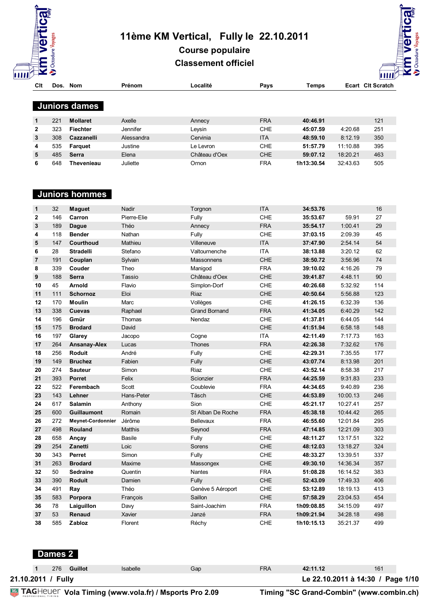



| Clt |     | Dos. Nom        | Prénom     | Localité | Pays       | Temps    |         | Ecart CIt Scratch |
|-----|-----|-----------------|------------|----------|------------|----------|---------|-------------------|
|     |     | Juniors dames   |            |          |            |          |         |                   |
|     | 221 | <b>Mollaret</b> | Axelle     | Annecy   | <b>FRA</b> | 40:46.91 |         | 121               |
| 2   | 323 | Fiechter        | Jennifer   | ∟evsin   | <b>CHE</b> | 45:07.59 | 4:20.68 | 251               |
|     | 308 | Cazzanelli      | Alessandra | Cervinia | <b>ITA</b> | 48:59.10 | 8.1219  | 350               |

| 3 | 308 | Cazzanelli | Alessandra | Cervinia      | ITA | 48:59.10   | 8:12.19  | 350 |
|---|-----|------------|------------|---------------|-----|------------|----------|-----|
| 4 | 535 | Farquet    | Justine    | Le Levron     | CHE | 51:57.79   | 11:10.88 | 395 |
| 5 | 485 | Serra      | Elena      | Château d'Oex | CHE | 59:07.12   | 18:20.21 | 463 |
| 6 | 648 | Thevenieau | Juliette   | Ornon         | FRA | 1h13:30.54 | 32:43.63 | 505 |

# **Juniors hommes**

| $\mathbf{1}$   | 32  | <b>Maguet</b>            | Nadir          | Torgnon              | <b>ITA</b> | 34:53.76   |          | 16  |
|----------------|-----|--------------------------|----------------|----------------------|------------|------------|----------|-----|
| $\mathbf 2$    | 146 | Carron                   | Pierre-Elie    | Fully                | CHE        | 35:53.67   | 59.91    | 27  |
| 3              | 189 | <b>Dague</b>             | Théo           | Annecy               | <b>FRA</b> | 35:54.17   | 1:00.41  | 29  |
| 4              | 118 | <b>Bender</b>            | Nathan         | Fully                | <b>CHE</b> | 37:03.15   | 2:09.39  | 45  |
| 5              | 147 | <b>Courthoud</b>         | Mathieu        | Villeneuve           | <b>ITA</b> | 37:47.90   | 2:54.14  | 54  |
| 6              | 28  | <b>Stradelli</b>         | Stefano        | Valtournenche        | <b>ITA</b> | 38:13.88   | 3:20.12  | 62  |
| $\overline{7}$ | 191 | Couplan                  | Sylvain        | Massonnens           | CHE        | 38:50.72   | 3:56.96  | 74  |
| 8              | 339 | Couder                   | Theo           | Manigod              | <b>FRA</b> | 39:10.02   | 4:16.26  | 79  |
| 9              | 188 | <b>Serra</b>             | Tassio         | Château d'Oex        | CHE        | 39:41.87   | 4:48.11  | 90  |
| 10             | 45  | <b>Arnold</b>            | Flavio         | Simplon-Dorf         | CHE        | 40:26.68   | 5:32.92  | 114 |
| 11             | 111 | <b>Schornoz</b>          | Eloi           | Riaz                 | CHE        | 40:50.64   | 5:56.88  | 123 |
| 12             | 170 | <b>Moulin</b>            | Marc           | Vollèges             | CHE        | 41:26.15   | 6:32.39  | 136 |
| 13             | 338 | <b>Cuevas</b>            | Raphael        | <b>Grand Bornand</b> | <b>FRA</b> | 41:34.05   | 6:40.29  | 142 |
| 14             | 196 | Gmür                     | Thomas         | Nendaz               | CHE        | 41:37.81   | 6:44.05  | 144 |
| 15             | 175 | <b>Brodard</b>           | David          |                      | CHE        | 41:51.94   | 6:58.18  | 148 |
| 16             | 197 | Glarey                   | Jacopo         | Cogne                | <b>ITA</b> | 42:11.49   | 7:17.73  | 163 |
| 17             | 264 | <b>Ansanay-Alex</b>      | Lucas          | Thones               | <b>FRA</b> | 42:26.38   | 7:32.62  | 176 |
| 18             | 256 | Roduit                   | André          | Fully                | CHE        | 42:29.31   | 7:35.55  | 177 |
| 19             | 149 | <b>Bruchez</b>           | Fabien         | Fully                | CHE        | 43:07.74   | 8:13.98  | 201 |
| 20             | 274 | <b>Sauteur</b>           | Simon          | Riaz                 | <b>CHE</b> | 43:52.14   | 8:58.38  | 217 |
| 21             | 393 | <b>Porret</b>            | Felix          | Scionzier            | <b>FRA</b> | 44:25.59   | 9:31.83  | 233 |
| 22             | 522 | Ferembach                | Scott          | Coublevie            | <b>FRA</b> | 44:34.65   | 9:40.89  | 236 |
| 23             | 143 | Lehner                   | Hans-Peter     | Täsch                | CHE        | 44:53.89   | 10:00.13 | 246 |
| 24             | 617 | <b>Salamin</b>           | Anthony        | Sion                 | CHE        | 45:21.17   | 10:27.41 | 257 |
| 25             | 600 | <b>Guillaumont</b>       | Romain         | St Alban De Roche    | <b>FRA</b> | 45:38.18   | 10:44.42 | 265 |
| 26             | 272 | <b>Meynet-Cordonnier</b> | Jérôme         | <b>Bellevaux</b>     | <b>FRA</b> | 46:55.60   | 12:01.84 | 295 |
| 27             | 498 | <b>Rouland</b>           | <b>Matthis</b> | Seynod               | <b>FRA</b> | 47:14.85   | 12:21.09 | 303 |
| 28             | 658 | Ançay                    | Basile         | Fully                | CHE        | 48:11.27   | 13:17.51 | 322 |
| 29             | 254 | <b>Zanetti</b>           | Loic           | Sorens               | CHE        | 48:12.03   | 13:18.27 | 324 |
| 30             | 343 | Perret                   | Simon          | Fully                | CHE        | 48:33.27   | 13:39.51 | 337 |
| 31             | 263 | <b>Brodard</b>           | Maxime         | Massongex            | CHE        | 49:30.10   | 14:36.34 | 357 |
| 32             | 50  | <b>Sedraine</b>          | Quentin        | <b>Nantes</b>        | <b>FRA</b> | 51:08.28   | 16:14.52 | 383 |
| 33             | 390 | <b>Roduit</b>            | Damien         | Fully                | CHE        | 52:43.09   | 17:49.33 | 406 |
| 34             | 491 | Ray                      | Théo           | Genève 5 Aéroport    | CHE        | 53:12.89   | 18:19.13 | 413 |
| 35             | 583 | Porpora                  | François       | Saillon              | CHE        | 57:58.29   | 23:04.53 | 454 |
| 36             | 78  | Laiguillon               | Davy           | Saint-Joachim        | <b>FRA</b> | 1h09:08.85 | 34:15.09 | 497 |
| 37             | 53  | Renaud                   | Xavier         | Janzé                | <b>FRA</b> | 1h09:21.94 | 34:28.18 | 498 |
| 38             | 585 | Zabloz                   | Florent        | Réchy                | CHE        | 1h10:15.13 | 35:21.37 | 499 |

# **Dames 2**

|                                                         |  | 276 | Guillot                                                                                                                                                                                                                                                                                                                                              | <b>Isabelle</b> | Gap | FRA | 42:11.12 | 161 |
|---------------------------------------------------------|--|-----|------------------------------------------------------------------------------------------------------------------------------------------------------------------------------------------------------------------------------------------------------------------------------------------------------------------------------------------------------|-----------------|-----|-----|----------|-----|
| 21.10.2011 / Fully<br>Le 22.10.2011 à 14:30 / Page 1/10 |  |     |                                                                                                                                                                                                                                                                                                                                                      |                 |     |     |          |     |
|                                                         |  |     | $\overline{170}$ $\overline{100}$ $\overline{1010}$ $\overline{100}$ $\overline{100}$ $\overline{100}$ $\overline{100}$ $\overline{100}$ $\overline{100}$ $\overline{100}$ $\overline{100}$ $\overline{100}$ $\overline{100}$ $\overline{100}$ $\overline{100}$ $\overline{100}$ $\overline{100}$ $\overline{100}$ $\overline{100}$ $\overline{100}$ | .               |     | .   | .        |     |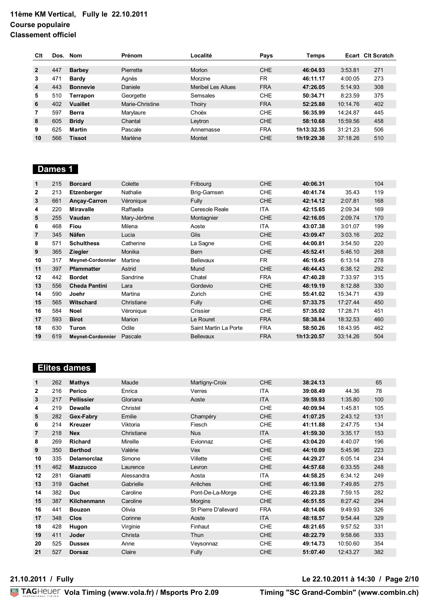| Clt            | Dos. | Nom             | <b>Prénom</b>   | Localité           | Pays       | Temps      |          | Ecart Clt Scratch |
|----------------|------|-----------------|-----------------|--------------------|------------|------------|----------|-------------------|
|                |      |                 |                 |                    |            |            |          |                   |
| $\overline{2}$ | 447  | <b>Barbey</b>   | Pierrette       | <b>Morlon</b>      | <b>CHE</b> | 46:04.93   | 3:53.81  | 271               |
| 3              | 471  | <b>Bardy</b>    | Agnès           | Morzine            | <b>FR</b>  | 46:11.17   | 4:00.05  | 273               |
| 4              | 443  | <b>Bonnevie</b> | Daniele         | Meribel Les Allues | <b>FRA</b> | 47:26.05   | 5:14.93  | 308               |
| 5              | 510  | Terrapon        | Georgette       | Semsales           | <b>CHE</b> | 50:34.71   | 8:23.59  | 375               |
| 6              | 402  | <b>Vuaillet</b> | Marie-Christine | Thoiry             | <b>FRA</b> | 52:25.88   | 10:14.76 | 402               |
|                | 597  | <b>Berra</b>    | Marylaure       | Choëx              | <b>CHE</b> | 56:35.99   | 14:24.87 | 445               |
| 8              | 605  | <b>Bridy</b>    | Chantal         | Leytron            | <b>CHE</b> | 58:10.68   | 15:59.56 | 458               |
| 9              | 625  | Martin          | Pascale         | Annemasse          | <b>FRA</b> | 1h13:32.35 | 31:21.23 | 506               |
| 10             | 566  | <b>Tissot</b>   | Marlène         | Montet             | <b>CHE</b> | 1h19:29.38 | 37.1826  | 510               |

# **Dames 1**

| $\mathbf 1$    | 215 | <b>Borcard</b>           | Colette       | Fribourg              | <b>CHE</b> | 40:06.31   |          | 104 |
|----------------|-----|--------------------------|---------------|-----------------------|------------|------------|----------|-----|
| $\mathbf{2}$   | 213 | <b>Etzenberger</b>       | Nathalie      | Brig-Gamsen           | <b>CHE</b> | 40:41.74   | 35.43    | 119 |
| 3              | 661 | Ançay-Carron             | Véronique     | Fully                 | <b>CHE</b> | 42:14.12   | 2:07.81  | 168 |
| 4              | 220 | <b>Miravalle</b>         | Raffaella     | Ceresole Reale        | <b>ITA</b> | 42:15.65   | 2:09.34  | 169 |
| 5              | 255 | Vaudan                   | Mary-Jérôme   | Montagnier            | <b>CHE</b> | 42:16.05   | 2:09.74  | 170 |
| 6              | 468 | <b>Fiou</b>              | Milena        | Aoste                 | <b>ITA</b> | 43:07.38   | 3:01.07  | 199 |
| $\overline{7}$ | 345 | <b>Näfen</b>             | Lucia         | <b>Glis</b>           | <b>CHE</b> | 43:09.47   | 3:03.16  | 202 |
| 8              | 571 | <b>Schulthess</b>        | Catherine     | La Sagne              | <b>CHE</b> | 44:00.81   | 3:54.50  | 220 |
| 9              | 365 | <b>Ziegler</b>           | Monika        | Bern                  | <b>CHE</b> | 45:52.41   | 5:46.10  | 268 |
| 10             | 317 | <b>Meynet-Cordonnier</b> | Martine       | <b>Bellevaux</b>      | FR.        | 46:19.45   | 6:13.14  | 278 |
| 11             | 397 | <b>Pfammatter</b>        | Astrid        | Mund                  | <b>CHE</b> | 46:44.43   | 6:38.12  | 292 |
| 12             | 442 | <b>Bordet</b>            | Sandrine      | Chatel                | <b>FRA</b> | 47:40.28   | 7:33.97  | 315 |
| 13             | 556 | <b>Cheda Pantini</b>     | Lara          | Gordevio              | <b>CHE</b> | 48:19.19   | 8:12.88  | 330 |
| 14             | 590 | Joehr                    | Martina       | Zurich                | <b>CHE</b> | 55:41.02   | 15:34.71 | 439 |
| 15             | 565 | <b>Witschard</b>         | Christiane    | Fully                 | <b>CHE</b> | 57:33.75   | 17:27.44 | 450 |
| 16             | 584 | <b>Noel</b>              | Véronique     | Crissier              | <b>CHE</b> | 57:35.02   | 17:28.71 | 451 |
| 17             | 593 | <b>Birot</b>             | <b>Marion</b> | Le Rouret             | <b>FRA</b> | 58:38.84   | 18:32.53 | 460 |
| 18             | 630 | <b>Turon</b>             | Odile         | Saint Martin La Porte | <b>FRA</b> | 58:50.26   | 18:43.95 | 462 |
| 19             | 619 | <b>Meynet-Cordonnier</b> | Pascale       | <b>Bellevaux</b>      | <b>FRA</b> | 1h13:20.57 | 33:14.26 | 504 |

# **Elites dames**

| 1            | 262 | <b>Mathys</b>      | Maude      | Martigny-Croix       | <b>CHE</b> | 38:24.13 |          | 65  |
|--------------|-----|--------------------|------------|----------------------|------------|----------|----------|-----|
| $\mathbf{2}$ | 216 | Perico             | Enrica     | Verres               | <b>ITA</b> | 39:08.49 | 44.36    | 78  |
| 3            | 217 | <b>Pellissier</b>  | Gloriana   | Aoste                | <b>ITA</b> | 39:59.93 | 1:35.80  | 100 |
| 4            | 219 | <b>Dewalle</b>     | Christel   |                      | <b>CHE</b> | 40:09.94 | 1:45.81  | 105 |
| 5            | 282 | Gex-Fabry          | Emilie     | Champéry             | <b>CHE</b> | 41:07.25 | 2:43.12  | 131 |
| 6            | 214 | <b>Kreuzer</b>     | Viktoria   | Fiesch               | <b>CHE</b> | 41:11.88 | 2:47.75  | 134 |
| 7            | 218 | <b>Nex</b>         | Christiane | <b>Nus</b>           | <b>ITA</b> | 41:59.30 | 3:35.17  | 153 |
| 8            | 269 | <b>Richard</b>     | Mireille   | Evionnaz             | <b>CHE</b> | 43:04.20 | 4:40.07  | 196 |
| 9            | 350 | <b>Berthod</b>     | Valérie    | <b>Vex</b>           | <b>CHE</b> | 44:10.09 | 5:45.96  | 223 |
| 10           | 335 | <b>Delamorciaz</b> | Simone     | Villette             | <b>CHE</b> | 44:29.27 | 6:05.14  | 234 |
| 11           | 462 | <b>Mazzucco</b>    | Laurence   | Levron               | <b>CHE</b> | 44:57.68 | 6:33.55  | 248 |
| 12           | 281 | Gianatti           | Alessandra | Aosta                | <b>ITA</b> | 44:58.25 | 6:34.12  | 249 |
| 13           | 319 | Gachet             | Gabrielle  | Arêches              | <b>CHE</b> | 46:13.98 | 7:49.85  | 275 |
| 14           | 382 | <b>Duc</b>         | Caroline   | Pont-De-La-Morge     | <b>CHE</b> | 46:23.28 | 7:59.15  | 282 |
| 15           | 387 | Kilchenmann        | Caroline   | Morgins              | <b>CHE</b> | 46:51.55 | 8:27.42  | 294 |
| 16           | 441 | <b>Bouzon</b>      | Olivia     | St Pierre D'allevard | <b>FRA</b> | 48:14.06 | 9:49.93  | 326 |
| 17           | 348 | <b>Clos</b>        | Corinne    | Aoste                | <b>ITA</b> | 48:18.57 | 9:54.44  | 329 |
| 18           | 428 | Hugon              | Virginie   | Finhaut              | <b>CHE</b> | 48:21.65 | 9:57.52  | 331 |
| 19           | 411 | Joder              | Christa    | <b>Thun</b>          | <b>CHE</b> | 48:22.79 | 9:58.66  | 333 |
| 20           | 525 | <b>Dussex</b>      | Anne       | Veysonnaz            | <b>CHE</b> | 49:14.73 | 10:50.60 | 354 |
| 21           | 527 | <b>Dorsaz</b>      | Claire     | Fully                | <b>CHE</b> | 51:07.40 | 12:43.27 | 382 |
|              |     |                    |            |                      |            |          |          |     |

#### **21.10.2011 / Fully Le 22.10.2011 à 14:30 / Page 2/10**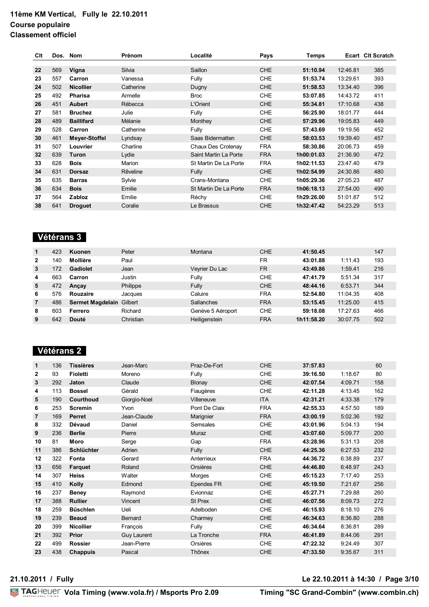| Clt |     | Dos. Nom          | <b>Prénom</b> | Localité              | Pays       | Temps      |          | <b>Ecart CIt Scratch</b> |
|-----|-----|-------------------|---------------|-----------------------|------------|------------|----------|--------------------------|
|     |     |                   |               |                       |            |            |          |                          |
| 22  | 569 | Vigna             | Silvia        | Saillon               | CHE        | 51:10.94   | 12:46.81 | 385                      |
| 23  | 557 | Carron            | Vanessa       | Fully                 | CHE        | 51:53.74   | 13:29.61 | 393                      |
| 24  | 502 | <b>Nicollier</b>  | Catherine     | Dugny                 | CHE        | 51:58.53   | 13:34.40 | 396                      |
| 25  | 492 | <b>Pharisa</b>    | Armelle       | <b>Broc</b>           | CHE.       | 53:07.85   | 14:43.72 | 411                      |
| 26  | 451 | <b>Aubert</b>     | Rébecca       | L'Orient              | <b>CHE</b> | 55:34.81   | 17:10.68 | 438                      |
| 27  | 581 | <b>Bruchez</b>    | Julie         | Fully                 | CHE.       | 56:25.90   | 18:01.77 | 444                      |
| 28  | 489 | <b>Baillifard</b> | Mélanie       | Monthey               | <b>CHE</b> | 57:29.96   | 19:05.83 | 449                      |
| 29  | 528 | Carron            | Catherine     | Fully                 | CHE.       | 57:43.69   | 19:19.56 | 452                      |
| 30  | 461 | Meyer-Stoffel     | Lyndsay       | Saas Bidermatten      | <b>CHE</b> | 58:03.53   | 19:39.40 | 457                      |
| 31  | 507 | Louvrier          | Charline      | Chaux Des Crotenay    | <b>FRA</b> | 58:30.86   | 20:06.73 | 459                      |
| 32  | 639 | Turon             | Lydie         | Saint Martin La Porte | <b>FRA</b> | 1h00:01.03 | 21:36.90 | 472                      |
| 33  | 628 | <b>Bois</b>       | Marion        | St Martin De La Porte | <b>FRA</b> | 1h02:11.53 | 23:47.40 | 479                      |
| 34  | 631 | <b>Dorsaz</b>     | Rêveline      | Fully                 | CHE        | 1h02:54.99 | 24:30.86 | 480                      |
| 35  | 635 | <b>Barras</b>     | Sylvie        | Crans-Montana         | CHE        | 1h05:29.36 | 27:05.23 | 487                      |
| 36  | 634 | <b>Bois</b>       | Emilie        | St Martin De La Porte | <b>FRA</b> | 1h06:18.13 | 27:54.00 | 490                      |
| 37  | 564 | Zabloz            | Emilie        | Réchy                 | CHE.       | 1h29:26.00 | 51:01.87 | 512                      |
| 38  | 641 | <b>Droguet</b>    | Coralie       | Le Brassus            | <b>CHE</b> | 1h32:47.42 | 54:23.29 | 513                      |

# **Vétérans 3**

| $\mathbf{1}$   | 423 | Kuonen                   | Peter     | Montana           | <b>CHE</b> | 41:50.45   |          | 147 |
|----------------|-----|--------------------------|-----------|-------------------|------------|------------|----------|-----|
| $\mathbf{2}$   | 140 | Mollière                 | Paul      |                   | <b>FR</b>  | 43:01.88   | 1:11.43  | 193 |
| 3              | 172 | Gadiolet                 | Jean      | Veyrier Du Lac    | <b>FR</b>  | 43:49.86   | 1:59.41  | 216 |
| 4              | 663 | Carron                   | Justin    | Fully             | <b>CHE</b> | 47:41.79   | 5:51.34  | 317 |
| 5              | 472 | Ancay                    | Philippe  | Fully             | <b>CHE</b> | 48:44.16   | 6:53.71  | 344 |
| 6              | 576 | Rouzaire                 | Jacques   | Caluire           | <b>FRA</b> | 52:54.80   | 11:04.35 | 408 |
| $\overline{7}$ | 486 | Sermet Magdelain Gilbert |           | Sallanches        | <b>FRA</b> | 53:15.45   | 11:25.00 | 415 |
| 8              | 603 | Ferrero                  | Richard   | Genève 5 Aéroport | <b>CHE</b> | 59:18.08   | 17:27.63 | 466 |
| 9              | 642 | Douté                    | Christian | Heiligenstein     | <b>FRA</b> | 1h11:58.20 | 30:07.75 | 502 |
|                |     |                          |           |                   |            |            |          |     |

# **Vétérans 2**

| 1              | 136 | <b>Tissières</b> | Jean-Marc          | Praz-De-Fort  | <b>CHE</b> | 37:57.83 |         | 60  |
|----------------|-----|------------------|--------------------|---------------|------------|----------|---------|-----|
| 2              | 93  | <b>Fioletti</b>  | Moreno             | Fully         | <b>CHE</b> | 39:16.50 | 1:18.67 | 80  |
| 3              | 292 | Jaton            | Claude             | <b>Blonay</b> | <b>CHE</b> | 42:07.54 | 4:09.71 | 158 |
| 4              | 113 | <b>Bossel</b>    | Gérald             | Fiaugères     | <b>CHE</b> | 42:11.28 | 4:13.45 | 162 |
| 5              | 190 | <b>Courthoud</b> | Giorgio-Noel       | Villeneuve    | <b>ITA</b> | 42:31.21 | 4:33.38 | 179 |
| 6              | 253 | <b>Scremin</b>   | Yvon               | Pont De Claix | <b>FRA</b> | 42:55.33 | 4:57.50 | 189 |
| $\overline{7}$ | 169 | <b>Perret</b>    | Jean-Claude        | Marignier     | <b>FRA</b> | 43:00.19 | 5:02.36 | 192 |
| 8              | 332 | Dévaud           | Daniel             | Semsales      | <b>CHE</b> | 43:01.96 | 5:04.13 | 194 |
| 9              | 236 | <b>Berlie</b>    | Pierre             | Muraz         | CHE        | 43:07.60 | 5:09.77 | 200 |
| 10             | 81  | Moro             | Serge              | Gap           | <b>FRA</b> | 43:28.96 | 5:31.13 | 208 |
| 11             | 386 | Schlüchter       | Adrien             | Fully         | <b>CHE</b> | 44:25.36 | 6:27.53 | 232 |
| 12             | 322 | Fonta            | Gerard             | Anterrieux    | <b>FRA</b> | 44:36.72 | 6:38.89 | 237 |
| 13             | 656 | <b>Farguet</b>   | Roland             | Orsières      | <b>CHE</b> | 44:46.80 | 6:48.97 | 243 |
| 14             | 307 | <b>Heiss</b>     | Walter             | Morges        | <b>CHE</b> | 45:15.23 | 7:17.40 | 253 |
| 15             | 410 | Kolly            | Edmond             | Ependes FR    | <b>CHE</b> | 45:19.50 | 7:21.67 | 256 |
| 16             | 237 | <b>Beney</b>     | Raymond            | Evionnaz      | <b>CHE</b> | 45:27.71 | 7:29.88 | 260 |
| 17             | 388 | <b>Rullier</b>   | Vincent            | St Prex       | <b>CHE</b> | 46:07.56 | 8:09.73 | 272 |
| 18             | 259 | <b>Büschlen</b>  | Ueli               | Adelboden     | <b>CHE</b> | 46:15.93 | 8:18.10 | 276 |
| 19             | 239 | <b>Beaud</b>     | Bernard            | Charmey       | <b>CHE</b> | 46:34.63 | 8:36.80 | 288 |
| 20             | 399 | <b>Nicollier</b> | François           | Fully         | <b>CHE</b> | 46:34.64 | 8:36.81 | 289 |
| 21             | 392 | Prior            | <b>Guy Laurent</b> | La Tronche    | <b>FRA</b> | 46:41.89 | 8:44.06 | 291 |
| 22             | 499 | <b>Rossier</b>   | Jean-Pierre        | Orsières      | <b>CHE</b> | 47:22.32 | 9:24.49 | 307 |
| 23             | 438 | <b>Chappuis</b>  | Pascal             | Thônex        | <b>CHE</b> | 47:33.50 | 9:35.67 | 311 |

#### **21.10.2011 / Fully Le 22.10.2011 à 14:30 / Page 3/10**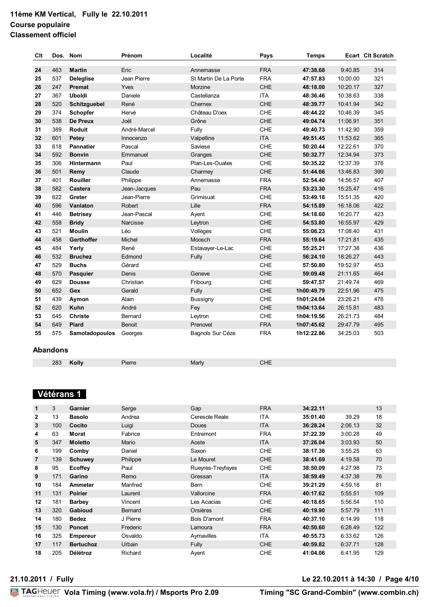| Clt |     | Dos. Nom              | Prénom        | Localité              | Pays       | <b>Temps</b> |          | Ecart Clt Scratch |
|-----|-----|-----------------------|---------------|-----------------------|------------|--------------|----------|-------------------|
| 24  | 463 | <b>Martin</b>         | Eric          | Annemasse             | <b>FRA</b> | 47:38.68     | 9:40.85  | 314               |
| 25  | 537 | <b>Deleglise</b>      | Jean Pierre   | St Martin De La Porte | <b>FRA</b> | 47:57.83     | 10:00.00 | 321               |
| 26  | 247 | Premat                | Yves          | Morzine               | <b>CHE</b> | 48:18.00     | 10:20.17 | 327               |
| 27  | 367 | <b>Uboldi</b>         | Daniele       | Castellanza           | <b>ITA</b> | 48:36.46     | 10:38.63 | 338               |
| 28  | 520 | Schitzguebel          | René          | Chernex               | CHE        | 48:39.77     | 10:41.94 | 342               |
| 29  | 374 | <b>Schopfer</b>       | Hervé         | Château D'oex         | CHE        | 48:44.22     | 10:46.39 | 345               |
| 30  | 538 | De Preux              | Joël          | Grône                 | CHE        | 49:04.74     | 11:06.91 | 351               |
| 31  | 389 | <b>Roduit</b>         | André-Marcel  | Fully                 | CHE        | 49:40.73     | 11:42.90 | 359               |
| 32  | 601 | Petey                 | Innocenzo     | Valpelline            | <b>ITA</b> | 49:51.45     | 11:53.62 | 365               |
| 33  | 618 | <b>Pannatier</b>      | Pascal        | Saviese               | <b>CHE</b> | 50:20.44     | 12:22.61 | 370               |
| 34  | 592 | <b>Bonvin</b>         | Emmanuel      | Granges               | <b>CHE</b> | 50:32.77     | 12:34.94 | 373               |
| 35  | 306 | Hintermann            | Paul          | Plan-Les-Ouates       | <b>CHE</b> | 50:35.22     | 12:37.39 | 376               |
| 36  | 501 | Remy                  | Claude        | Charmey               | CHE        | 51:44.66     | 13:46.83 | 390               |
| 37  | 401 | <b>Rouiller</b>       | Philippe      | Annemasse             | <b>FRA</b> | 52:54.40     | 14:56.57 | 407               |
| 38  | 582 | Castera               | Jean-Jacques  | Pau                   | <b>FRA</b> | 53:23.30     | 15:25.47 | 416               |
| 39  | 622 | Greter                | Jean-Pierre   | Grimisuat             | CHE        | 53:49.18     | 15:51.35 | 420               |
| 40  | 596 | Vanlaton              | Robert        | Lille                 | <b>FRA</b> | 54:15.89     | 16:18.06 | 422               |
| 41  | 446 | <b>Betrisey</b>       | Jean-Pascal   | Ayent                 | CHE        | 54:18.60     | 16:20.77 | 423               |
| 42  | 558 | <b>Bridy</b>          | Narcisse      | Leytron               | CHE        | 54:53.80     | 16:55.97 | 429               |
| 43  | 521 | <b>Moulin</b>         | Léo           | Vollèges              | <b>CHE</b> | 55:06.23     | 17:08.40 | 431               |
| 44  | 458 | <b>Gerthoffer</b>     | Michel        | Moosch                | <b>FRA</b> | 55:19.64     | 17:21.81 | 435               |
| 45  | 484 | Yerly                 | René          | Estavayer-Le-Lac      | CHE        | 55:25.21     | 17:27.38 | 436               |
| 46  | 532 | <b>Bruchez</b>        | Edmond        | Fully                 | CHE        | 56:24.10     | 18:26.27 | 443               |
| 47  | 529 | <b>Buchs</b>          | Gérard        |                       | CHE        | 57:50.80     | 19:52.97 | 453               |
| 48  | 570 | <b>Pasquier</b>       | Denis         | Geneve                | CHE        | 59:09.48     | 21:11.65 | 464               |
| 49  | 629 | <b>Dousse</b>         | Christian     | Fribourg              | CHE        | 59:47.57     | 21:49.74 | 469               |
| 50  | 652 | Gex                   | Gerald        | Fully                 | CHE        | 1h00:49.79   | 22:51.96 | 475               |
| 51  | 439 | Aymon                 | Alain         | <b>Bussigny</b>       | CHE        | 1h01:24.04   | 23:26.21 | 476               |
| 52  | 620 | <b>Kuhn</b>           | André         | Fey                   | <b>CHE</b> | 1h04:13.64   | 26:15.81 | 483               |
| 53  | 645 | <b>Christe</b>        | Bernard       | Leytron               | CHE        | 1h04:19.56   | 26:21.73 | 484               |
| 54  | 649 | <b>Piard</b>          | <b>Benoit</b> | Prenovel              | <b>FRA</b> | 1h07:45.62   | 29:47.79 | 495               |
| 55  | 575 | <b>Samoladopoulos</b> | Georges       | Bagnols Sur Cèze      | <b>FRA</b> | 1h12:22.86   | 34:25.03 | 503               |

#### **Abandons**

| 283 | $\overline{1}$<br>$\lambda$ olly<br>---- | <b><i><u>ALCOHOL: 1999 AT 1999 AT 1999 AT 1999 AT 1999 AT 1999 AT 1999 AT 1999 AT 1999 AT 1999 AT 1999 AT 1999 AT 1999 AT 1999 AT 1999 AT 1999 AT 1999 AT 1999 AT 1999 AT 1999 AT 1999 AT 1999 AT 1999 AT 1999 AT 1999 AT 1999 AT 19</u></i></b> | Marly<br>$\cdots$ | CHE<br>$ -$ |
|-----|------------------------------------------|--------------------------------------------------------------------------------------------------------------------------------------------------------------------------------------------------------------------------------------------------|-------------------|-------------|

# **Vétérans 1**

| $\mathbf{1}$   | 3   | Garnier          | Serge          | Gap               | <b>FRA</b> | 34:22.11 |         | 13  |
|----------------|-----|------------------|----------------|-------------------|------------|----------|---------|-----|
| $\mathbf{2}$   | 13  | <b>Basolo</b>    | Andrea         | Ceresole Reale    | <b>ITA</b> | 35:01.40 | 39.29   | 18  |
| 3              | 100 | Cocito           | Luigi          | <b>Doues</b>      | <b>ITA</b> | 36:28.24 | 2:06.13 | 32  |
| 4              | 63  | <b>Morat</b>     | Fabrice        | Entremont         | <b>FRA</b> | 37:22.39 | 3:00.28 | 49  |
| 5              | 347 | <b>Moletto</b>   | Mario          | Aoste             | <b>ITA</b> | 37:26.04 | 3:03.93 | 50  |
| 6              | 199 | Comby            | Daniel         | Saxon             | <b>CHE</b> | 38:17.36 | 3:55.25 | 63  |
| $\overline{7}$ | 139 | <b>Schuwey</b>   | Philippe       | Le Mouret         | CHE        | 38:41.69 | 4:19.58 | 70  |
| 8              | 95  | <b>Ecoffey</b>   | Paul           | Rueyres-Treyfayes | <b>CHE</b> | 38:50.09 | 4:27.98 | 73  |
| 9              | 171 | Garino           | Remo           | Gressan           | <b>ITA</b> | 38:59.49 | 4:37.38 | 76  |
| 10             | 184 | Ammeter          | Manfred        | Bern              | <b>CHE</b> | 39:21.29 | 4:59.18 | 81  |
| 11             | 131 | <b>Poirier</b>   | Laurent        | Vallorcine        | <b>FRA</b> | 40:17.62 | 5:55.51 | 109 |
| 12             | 181 | <b>Barbey</b>    | Vincent        | Les Acacias       | <b>CHE</b> | 40:18.65 | 5:56.54 | 110 |
| 13             | 320 | Gabioud          | <b>Bernard</b> | <b>Orsières</b>   | CHE.       | 40:19.90 | 5:57.79 | 111 |
| 14             | 180 | <b>Bedez</b>     | J Pierre       | Bois D'amont      | <b>FRA</b> | 40:37.10 | 6:14.99 | 118 |
| 15             | 130 | <b>Poncet</b>    | Frederic       | Lamoura           | <b>FRA</b> | 40:50.60 | 6:28.49 | 122 |
| 16             | 325 | <b>Empereur</b>  | Osvaldo        | Aymavilles        | <b>ITA</b> | 40:55.73 | 6:33.62 | 126 |
| 17             | 117 | <b>Bertuchoz</b> | Urbain         | Fully             | CHE        | 40:59.82 | 6:37.71 | 128 |
| 18             | 205 | <b>Délétroz</b>  | Richard        | Ayent             | <b>CHE</b> | 41:04.06 | 6:41.95 | 129 |

#### **21.10.2011 / Fully Le 22.10.2011 à 14:30 / Page 4/10**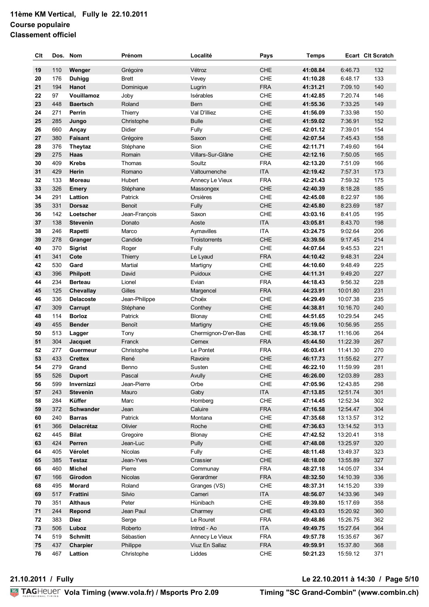| Clt | Dos. | <b>Nom</b>       | Prénom        | Localité            | Pays        | <b>Temps</b> |          | Ecart Clt Scratch |
|-----|------|------------------|---------------|---------------------|-------------|--------------|----------|-------------------|
|     |      |                  |               |                     |             |              |          |                   |
| 19  | 110  | Wenger           | Grégoire      | Vétroz              | CHE         | 41:08.84     | 6:46.73  | 132               |
| 20  | 176  | <b>Duhigg</b>    | <b>Brett</b>  | Vevey               | CHE         | 41:10.28     | 6:48.17  | 133               |
| 21  | 194  | Hanot            | Dominique     | Lugrin              | <b>FRA</b>  | 41:31.21     | 7:09.10  | 140               |
| 22  | 97   | Vouillamoz       | Joby          | Isérables           | CHE         | 41:42.85     | 7:20.74  | 146               |
| 23  | 448  | <b>Baertsch</b>  | Roland        | Bern                | CHE         | 41:55.36     | 7:33.25  | 149               |
| 24  | 271  | Perrin           | Thierry       | Val D'illiez        | <b>CHE</b>  | 41:56.09     | 7:33.98  | 150               |
| 25  | 285  | Jungo            | Christophe    | <b>Bulle</b>        | CHE         | 41:59.02     | 7:36.91  | 152               |
| 26  | 660  | Ançay            | Didier        | Fully               | CHE         | 42:01.12     | 7:39.01  | 154               |
| 27  | 380  | Faisant          | Grégoire      | Saxon               | CHE         | 42:07.54     | 7:45.43  | 158               |
| 28  | 376  | Theytaz          | Stéphane      | Sion                | CHE         | 42:11.71     | 7:49.60  | 164               |
| 29  | 275  | Haas             | Romain        | Villars-Sur-Glâne   | CHE         | 42:12.16     | 7:50.05  | 165               |
| 30  | 409  | <b>Krebs</b>     | Thomas        | Soultz              | <b>FRA</b>  | 42:13.20     | 7:51.09  | 166               |
| 31  | 429  | Herin            | Romano        | Valtournenche       | <b>ITA</b>  | 42:19.42     | 7:57.31  | 173               |
| 32  | 133  | Moreau           | Hubert        | Annecy Le Vieux     | <b>FRA</b>  | 42:21.43     | 7:59.32  | 175               |
| 33  | 326  | <b>Emery</b>     | Stéphane      | Massongex           | CHE         | 42:40.39     | 8:18.28  | 185               |
| 34  | 291  | Lattion          | Patrick       | Orsières            | CHE         | 42:45.08     | 8:22.97  | 186               |
| 35  | 331  | <b>Dorsaz</b>    | <b>Benoit</b> | Fully               | CHE         | 42:45.80     | 8:23.69  | 187               |
| 36  | 142  | Loetscher        | Jean-François | Saxon               | CHE         | 43:03.16     | 8:41.05  | 195               |
| 37  | 138  | <b>Stevenin</b>  | Donato        | Aoste               | <b>ITA</b>  | 43:05.81     | 8:43.70  | 198               |
| 38  | 246  | Rapetti          | Marco         | Aymavilles          | <b>ITA</b>  | 43:24.75     | 9:02.64  | 206               |
| 39  | 278  | Granger          | Candide       | Troistorrents       | CHE         | 43:39.56     | 9:17.45  | 214               |
| 40  | 370  | <b>Sigrist</b>   | Roger         | Fully               | CHE         | 44:07.64     | 9:45.53  | 221               |
| 41  | 341  | Cote             | Thierry       | Le Lyaud            | <b>FRA</b>  | 44:10.42     | 9:48.31  | 224               |
| 42  | 530  | Gard             | Martial       | Martigny            | CHE         | 44:10.60     | 9:48.49  | 225               |
| 43  | 396  | <b>Philpott</b>  | David         | Puidoux             | CHE         | 44:11.31     | 9:49.20  | 227               |
| 44  | 234  | <b>Berteau</b>   | Lionel        | Evian               | <b>FRA</b>  | 44:18.43     | 9:56.32  | 228               |
| 45  | 125  | Chevallay        | Gilles        | Margencel           | <b>FRA</b>  | 44:23.91     | 10:01.80 | 231               |
| 46  | 336  | <b>Delacoste</b> | Jean-Philippe | Choëx               | CHE         | 44:29.49     | 10:07.38 | 235               |
| 47  | 309  | Carrupt          | Stéphane      | Conthey             | CHE         | 44:38.81     | 10:16.70 | 240               |
| 48  | 114  | <b>Borloz</b>    | Patrick       | Blonay              | CHE         | 44:51.65     | 10:29.54 | 245               |
| 49  | 455  | <b>Bender</b>    | Benoït        | Martigny            | CHE         | 45:19.06     | 10:56.95 | 255               |
| 50  | 513  | Lagger           | Tony          | Chermignon-D'en-Bas | CHE         | 45:38.17     | 11:16.06 | 264               |
| 51  | 304  | Jacquet          | Franck        | Cernex              | <b>FRA</b>  | 45:44.50     | 11:22.39 | 267               |
| 52  | 277  | Guermeur         | Christophe    | Le Pontet           | <b>FRA</b>  | 46:03.41     | 11:41.30 | 270               |
| 53  | 433  | <b>Crettex</b>   | René          | Ravoire             | CHE         | 46:17.73     | 11:55.62 | 277               |
| 54  | 279  | Grand            | Benno         | Susten              | CHE         | 46:22.10     | 11:59.99 | 281               |
| 55  | 526  | <b>Duport</b>    | Pascal        | Avully              | <b>CHE</b>  | 46:26.00     | 12:03.89 | 283               |
| 56  | 599  | Invernizzi       | Jean-Pierre   | Orbe                | <b>CHE</b>  | 47:05.96     | 12:43.85 | 298               |
| 57  | 243  | <b>Stevenin</b>  | Mauro         | Gaby                | <b>ITA</b>  | 47:13.85     | 12:51.74 | 301               |
| 58  | 284  | Küffer           | Marc          | Homberg             | ${\sf CHE}$ | 47:14.45     | 12:52.34 | 302               |
| 59  | 372  | Schwander        | Jean          | Caluire             | <b>FRA</b>  | 47:16.58     | 12:54.47 | 304               |
| 60  | 240  | <b>Barras</b>    | Patrick       | Montana             | CHE         | 47:35.68     | 13:13.57 | 312               |
| 61  | 366  | Delacrétaz       | Olivier       | Roche               | CHE         | 47:36.63     | 13:14.52 | 313               |
| 62  | 445  | <b>Bilat</b>     | Gregoire      | Blonay              | CHE         | 47:42.52     | 13:20.41 | 318               |
| 63  | 424  | Perren           | Jean-Luc      | Pully               | CHE         | 47:48.08     | 13:25.97 | 320               |
| 64  | 405  | Vérolet          | Nicolas       | Fully               | CHE         | 48:11.48     | 13:49.37 | 323               |
| 65  | 385  | <b>Testaz</b>    | Jean-Yves     | Crassier            | CHE         | 48:18.00     | 13:55.89 | 327               |
| 66  | 460  | <b>Michel</b>    | Pierre        | Communay            | <b>FRA</b>  | 48:27.18     | 14:05.07 | 334               |
| 67  | 166  | Girodon          | Nicolas       | Gerardmer           | <b>FRA</b>  | 48:32.50     | 14:10.39 | 336               |
| 68  | 495  | Morard           | Roland        | Granges (VS)        | CHE         | 48:37.31     | 14:15.20 | 339               |
| 69  | 517  | Frattini         | Silvio        | Cameri              | <b>ITA</b>  | 48:56.07     | 14:33.96 | 349               |
| 70  | 351  | <b>Althaus</b>   | Peter         | Hünibach            | CHE         | 49:39.80     | 15:17.69 | 358               |
| 71  | 244  | Repond           | Jean Paul     | Charmey             | CHE         | 49:43.03     | 15:20.92 | 360               |
| 72  | 383  | <b>Diez</b>      | Serge         | Le Rouret           | <b>FRA</b>  | 49:48.86     | 15:26.75 | 362               |
| 73  | 506  | Luboz            | Roberto       | Introd - Ao         | <b>ITA</b>  | 49:49.75     | 15:27.64 | 364               |
| 74  | 519  | <b>Schmitt</b>   | Sébastien     | Annecy Le Vieux     | <b>FRA</b>  | 49:57.78     | 15:35.67 | 367               |
| 75  | 437  | Charpier         | Philippe      | Viuz En Sallaz      | <b>FRA</b>  | 49:59.91     | 15:37.80 | 368               |
| 76  | 467  | Lattion          | Christophe    | Liddes              | <b>CHE</b>  | 50:21.23     | 15:59.12 | 371               |
|     |      |                  |               |                     |             |              |          |                   |

#### **21.10.2011 / Fully Le 22.10.2011 à 14:30 / Page 5/10**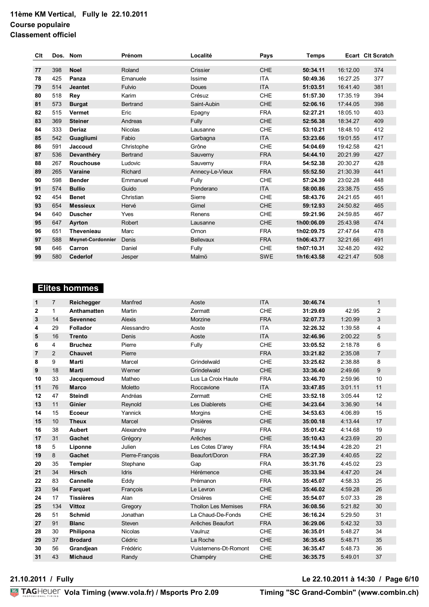| Clt |     | Dos. Nom                 | Prénom          | Localité         | Pays       | Temps      |          | <b>Ecart CIt Scratch</b> |
|-----|-----|--------------------------|-----------------|------------------|------------|------------|----------|--------------------------|
|     |     |                          |                 |                  |            |            |          |                          |
| 77  | 398 | <b>Noel</b>              | Roland          | Crissier         | <b>CHE</b> | 50:34.11   | 16:12.00 | 374                      |
| 78  | 425 | Panza                    | Emanuele        | Issime           | <b>ITA</b> | 50:49.36   | 16:27.25 | 377                      |
| 79  | 514 | <b>Jeantet</b>           | Fulvio          | Doues            | <b>ITA</b> | 51:03.51   | 16:41.40 | 381                      |
| 80  | 518 | Rey                      | Karim           | Crésuz           | <b>CHE</b> | 51:57.30   | 17:35.19 | 394                      |
| 81  | 573 | <b>Burgat</b>            | <b>Bertrand</b> | Saint-Aubin      | <b>CHE</b> | 52:06.16   | 17:44.05 | 398                      |
| 82  | 515 | <b>Vermet</b>            | Eric            | Epagny           | <b>FRA</b> | 52:27.21   | 18:05.10 | 403                      |
| 83  | 369 | <b>Steiner</b>           | Andreas         | Fully            | <b>CHE</b> | 52:56.38   | 18:34.27 | 409                      |
| 84  | 333 | <b>Deriaz</b>            | <b>Nicolas</b>  | Lausanne         | <b>CHE</b> | 53:10.21   | 18:48.10 | 412                      |
| 85  | 542 | Guagliumi                | Fabio           | Garbagna         | <b>ITA</b> | 53:23.66   | 19:01.55 | 417                      |
| 86  | 591 | <b>Jaccoud</b>           | Christophe      | Grône            | <b>CHE</b> | 54:04.69   | 19:42.58 | 421                      |
| 87  | 536 | Devanthéry               | <b>Bertrand</b> | Sauverny         | <b>FRA</b> | 54:44.10   | 20:21.99 | 427                      |
| 88  | 267 | <b>Rouchouse</b>         | Ludovic         | Sauverny         | <b>FRA</b> | 54:52.38   | 20:30.27 | 428                      |
| 89  | 265 | Varaine                  | Richard         | Annecy-Le-Vieux  | <b>FRA</b> | 55:52.50   | 21:30.39 | 441                      |
| 90  | 598 | <b>Bender</b>            | Emmanuel        | Fully            | <b>CHE</b> | 57:24.39   | 23:02.28 | 448                      |
| 91  | 574 | <b>Bullio</b>            | Guido           | Ponderano        | <b>ITA</b> | 58:00.86   | 23:38.75 | 455                      |
| 92  | 454 | <b>Benet</b>             | Christian       | Sierre           | <b>CHE</b> | 58:43.76   | 24:21.65 | 461                      |
| 93  | 654 | <b>Messieux</b>          | Hervé           | Gimel            | <b>CHE</b> | 59:12.93   | 24:50.82 | 465                      |
| 94  | 640 | <b>Duscher</b>           | Yves            | Renens           | <b>CHE</b> | 59:21.96   | 24:59.85 | 467                      |
| 95  | 647 | Ayrton                   | Robert          | Lausanne         | <b>CHE</b> | 1h00:06.09 | 25:43.98 | 474                      |
| 96  | 651 | <b>Thevenieau</b>        | Marc            | Ornon            | <b>FRA</b> | 1h02:09.75 | 27:47.64 | 478                      |
| 97  | 588 | <b>Meynet-Cordonnier</b> | Denis           | <b>Bellevaux</b> | <b>FRA</b> | 1h06:43.77 | 32:21.66 | 491                      |
| 98  | 646 | Carron                   | Daniel          | Fully            | <b>CHE</b> | 1h07:10.31 | 32:48.20 | 492                      |
| 99  | 580 | Cederlof                 | Jesper          | Malmö            | <b>SWE</b> | 1h16:43.58 | 42:21.47 | 508                      |
|     |     |                          |                 |                  |            |            |          |                          |

### **Elites hommes**

| 1              | $\overline{7}$ | Reichegger       | Manfred         | Aoste                      | <b>ITA</b> | 30:46.74 |         | $\mathbf{1}$   |
|----------------|----------------|------------------|-----------------|----------------------------|------------|----------|---------|----------------|
| $\mathbf{2}$   | $\mathbf{1}$   | Anthamatten      | Martin          | Zermatt                    | CHE        | 31:29.69 | 42.95   | $\overline{2}$ |
| 3              | 14             | <b>Sevennec</b>  | Alexis          | Morzine                    | <b>FRA</b> | 32:07.73 | 1:20.99 | 3              |
| 4              | 29             | <b>Follador</b>  | Alessandro      | Aoste                      | <b>ITA</b> | 32:26.32 | 1:39.58 | 4              |
| 5              | 16             | <b>Trento</b>    | Denis           | Aoste                      | <b>ITA</b> | 32:46.96 | 2:00.22 | 5              |
| 6              | 4              | <b>Bruchez</b>   | Pierre          | Fully                      | CHE        | 33:05.52 | 2:18.78 | 6              |
| $\overline{7}$ | 2              | Chauvet          | Pierre          |                            | <b>FRA</b> | 33:21.82 | 2:35.08 | $\overline{7}$ |
| 8              | 9              | <b>Marti</b>     | Marcel          | Grindelwald                | CHE        | 33:25.62 | 2:38.88 | 8              |
| 9              | 18             | <b>Marti</b>     | Werner          | Grindelwald                | <b>CHE</b> | 33:36.40 | 2:49.66 | 9              |
| 10             | 33             | Jacquemoud       | Matheo          | Lus La Croix Haute         | <b>FRA</b> | 33:46.70 | 2:59.96 | 10             |
| 11             | 76             | <b>Marco</b>     | Moletto         | Roccavione                 | <b>ITA</b> | 33:47.85 | 3:01.11 | 11             |
| 12             | 47             | <b>Steindl</b>   | Andréas         | Zermatt                    | CHE        | 33:52.18 | 3:05.44 | 12             |
| 13             | 11             | Ginier           | Reynold         | <b>Les Diablerets</b>      | <b>CHE</b> | 34:23.64 | 3:36.90 | 14             |
| 14             | 15             | Ecoeur           | Yannick         | Morgins                    | <b>CHE</b> | 34:53.63 | 4:06.89 | 15             |
| 15             | 10             | <b>Theux</b>     | Marcel          | Orsières                   | <b>CHE</b> | 35:00.18 | 4:13.44 | 17             |
| 16             | 38             | <b>Aubert</b>    | Alexandre       | Passy                      | <b>FRA</b> | 35:01.42 | 4:14.68 | 19             |
| 17             | 31             | Gachet           | Grégory         | Arêches                    | <b>CHE</b> | 35:10.43 | 4:23.69 | 20             |
| 18             | 5              | Liponne          | Julien          | Les Cotes D'arey           | <b>FRA</b> | 35:14.94 | 4:28.20 | 21             |
| 19             | 8              | Gachet           | Pierre-François | Beaufort/Doron             | <b>FRA</b> | 35:27.39 | 4:40.65 | 22             |
| 20             | 35             | <b>Tempier</b>   | Stephane        | Gap                        | <b>FRA</b> | 35:31.76 | 4:45.02 | 23             |
| 21             | 34             | <b>Hirsch</b>    | <b>Idris</b>    | Hérémence                  | <b>CHE</b> | 35:33.94 | 4:47.20 | 24             |
| 22             | 83             | <b>Cannelle</b>  | Eddy            | Prémanon                   | <b>FRA</b> | 35:45.07 | 4:58.33 | 25             |
| 23             | 94             | Farquet          | François        | Le Levron                  | <b>CHE</b> | 35:46.02 | 4:59.28 | 26             |
| 24             | 17             | <b>Tissières</b> | Alan            | Orsières                   | <b>CHE</b> | 35:54.07 | 5:07.33 | 28             |
| 25             | 134            | <b>Vittoz</b>    | Gregory         | <b>Thollon Les Memises</b> | <b>FRA</b> | 36:08.56 | 5:21.82 | 30             |
| 26             | 51             | <b>Schmid</b>    | Jonathan        | La Chaud-De-Fonds          | <b>CHE</b> | 36:16.24 | 5:29.50 | 31             |
| 27             | 91             | <b>Blanc</b>     | Steven          | Arêches Beaufort           | <b>FRA</b> | 36:29.06 | 5:42.32 | 33             |
| 28             | 30             | Philipona        | Nicolas         | Vaulruz                    | CHE        | 36:35.01 | 5:48.27 | 34             |
| 29             | 37             | <b>Brodard</b>   | Cédric          | La Roche                   | <b>CHE</b> | 36:35.45 | 5:48.71 | 35             |
| 30             | 56             | Grandjean        | Frédéric        | Vuisternens-Dt-Romont      | CHE        | 36:35.47 | 5:48.73 | 36             |
| 31             | 43             | <b>Michaud</b>   | Randy           | Champéry                   | <b>CHE</b> | 36:35.75 | 5:49.01 | 37             |
|                |                |                  |                 |                            |            |          |         |                |

#### **21.10.2011 / Fully Le 22.10.2011 à 14:30 / Page 6/10**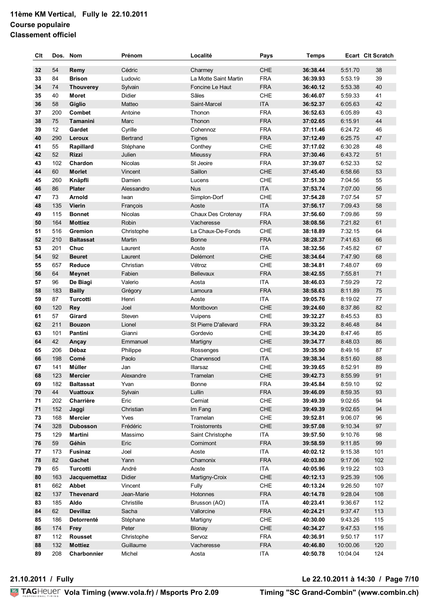| Clt      | Dos.       | <b>Nom</b>            | Prénom            | Localité                         | Pays              | <b>Temps</b>         |                    | Ecart CIt Scratch |
|----------|------------|-----------------------|-------------------|----------------------------------|-------------------|----------------------|--------------------|-------------------|
| 32       |            |                       |                   |                                  | <b>CHE</b>        |                      |                    | 38                |
| 33       | 54<br>84   | Remy<br><b>Brison</b> | Cédric<br>Ludovic | Charmey<br>La Motte Saint Martin | <b>FRA</b>        | 36:38.44<br>36:39.93 | 5:51.70<br>5:53.19 | 39                |
| 34       | 74         | <b>Thouverey</b>      |                   | Foncine Le Haut                  | <b>FRA</b>        | 36:40.12             | 5:53.38            | 40                |
| 35       | 40         | Moret                 | Sylvain<br>Didier | Sâles                            | CHE               | 36:46.07             | 5:59.33            | 41                |
| 36       | 58         | Giglio                | Matteo            | Saint-Marcel                     | <b>ITA</b>        | 36:52.37             | 6:05.63            | 42                |
| 37       | 200        | Combet                | Antoine           | Thonon                           | <b>FRA</b>        | 36:52.63             | 6:05.89            | 43                |
| 38       | 75         | Tamanini              | Marc              | Thonon                           | <b>FRA</b>        | 37:02.65             | 6:15.91            | 44                |
| 39       | 12         | Gardet                | Cyrille           | Cohennoz                         | <b>FRA</b>        | 37:11.46             | 6:24.72            | 46                |
| 40       | 290        | Leroux                | Bertrand          | <b>Tignes</b>                    | <b>FRA</b>        | 37:12.49             | 6:25.75            | 47                |
| 41       | 55         | Rapillard             | Stéphane          | Conthey                          | CHE               | 37:17.02             | 6:30.28            | 48                |
| 42       | 52         | <b>Rizzi</b>          | Julien            | Mieussy                          | <b>FRA</b>        | 37:30.46             | 6:43.72            | 51                |
| 43       | 102        | Chardon               | Nicolas           | St Jeoire                        | <b>FRA</b>        | 37:39.07             | 6:52.33            | 52                |
| 44       | 60         | <b>Morlet</b>         | Vincent           | Saillon                          | CHE               | 37:45.40             | 6:58.66            | 53                |
| 45       | 260        | Knäpfli               | Damien            | Lucens                           | CHE               | 37:51.30             | 7:04.56            | 55                |
| 46       | 86         | <b>Plater</b>         | Alessandro        | <b>Nus</b>                       | <b>ITA</b>        | 37:53.74             | 7:07.00            | 56                |
| 47       | 73         | <b>Arnold</b>         | Iwan              | Simplon-Dorf                     | CHE               | 37:54.28             | 7:07.54            | 57                |
| 48       | 135        | Vierin                | François          | Aoste                            | <b>ITA</b>        | 37:56.17             | 7:09.43            | 58                |
| 49       | 115        | <b>Bonnet</b>         | Nicolas           | Chaux Des Crotenay               | <b>FRA</b>        | 37:56.60             | 7:09.86            | 59                |
| 50       | 164        | <b>Mottiez</b>        | Robin             | Vacheresse                       | <b>FRA</b>        | 38:08.56             | 7:21.82            | 61                |
| 51       | 516        | Gremion               | Christophe        | La Chaux-De-Fonds                | CHE               | 38:18.89             | 7:32.15            | 64                |
| 52       | 210        | <b>Baltassat</b>      | Martin            | <b>Bonne</b>                     | <b>FRA</b>        | 38:28.37             | 7:41.63            | 66                |
| 53       | 201        | Chuc                  | Laurent           | Aoste                            | <b>ITA</b>        | 38:32.56             | 7:45.82            | 67                |
| 54       | 92         | <b>Beuret</b>         | Laurent           | <b>Delémont</b>                  | <b>CHE</b>        | 38:34.64             | 7:47.90            | 68                |
| 55       | 657        | Reduce                | Christian         | Vétroz                           | CHE               | 38:34.81             | 7:48.07            | 69                |
| 56       | 64         | <b>Meynet</b>         | Fabien            | <b>Bellevaux</b>                 | <b>FRA</b>        | 38:42.55             | 7:55.81            | 71                |
| 57       | 96         | De Biagi              | Valerio           | Aosta                            | <b>ITA</b>        | 38:46.03             | 7:59.29            | 72                |
| 58       | 183        | <b>Bailly</b>         | Grégory           | Lamoura                          | <b>FRA</b>        | 38:58.63             | 8:11.89            | 75                |
| 59       | 87         | Turcotti              | Henri             | Aoste                            | <b>ITA</b>        | 39:05.76             | 8:19.02            | 77                |
| 60       | 120        | <b>Rey</b>            | Joel              | Montbovon                        | CHE               | 39:24.60             | 8:37.86            | 82                |
| 61       | 57         | Girard                | Steven            | Vuipens                          | CHE               | 39:32.27             | 8:45.53            | 83                |
| 62       | 211        | <b>Bouzon</b>         | Lionel            | St Pierre D'allevard             | <b>FRA</b>        | 39:33.22             | 8:46.48            | 84                |
| 63       | 101        | Pantini               | Gianni            | Gordevio                         | CHE               | 39:34.20             | 8:47.46            | 85                |
| 64       | 42         | Ançay                 | Emmanuel          | Martigny                         | CHE               | 39:34.77             | 8:48.03            | 86                |
| 65<br>66 | 206<br>198 | Débaz<br>Comé         | Philippe<br>Paolo | Rossenges<br>Charvensod          | CHE<br><b>ITA</b> | 39:35.90<br>39:38.34 | 8:49.16<br>8:51.60 | 87<br>88          |
| 67       | 141        | Müller                | Jan               | Illarsaz                         | CHE               | 39:39.65             | 8:52.91            | 89                |
| 68       | 123        | <b>Mercier</b>        | Alexandre         | Tramelan                         | CHE               | 39:42.73             | 8:55.99            | 91                |
| 69       | 182        | <b>Baltassat</b>      | Yvan              | Bonne                            | <b>FRA</b>        | 39:45.84             | 8:59.10            | 92                |
| 70       | 44         | <b>Vuattoux</b>       | Sylvain           | Lullin                           | <b>FRA</b>        | 39:46.09             | 8:59.35            | 93                |
| 71       | 202        | Charrière             | Eric              | Cerniat                          | CHE               | 39:49.39             | 9:02.65            | 94                |
| 71       | 152        | Jaggi                 | Christian         | Im Fang                          | CHE               | 39:49.39             | 9:02.65            | 94                |
| 73       | 168        | <b>Mercier</b>        | Yves              | Tramelan                         | CHE               | 39:52.81             | 9:06.07            | 96                |
| 74       | 328        | <b>Dubosson</b>       | Frédéric          | Troistorrents                    | CHE               | 39:57.08             | 9:10.34            | 97                |
| 75       | 129        | <b>Martini</b>        | Massimo           | Saint Christophe                 | ITA               | 39:57.50             | 9:10.76            | 98                |
| 76       | 59         | Géhin                 | Eric              | Cornimont                        | <b>FRA</b>        | 39:58.59             | 9:11.85            | $99\,$            |
| 77       | 173        | <b>Fusinaz</b>        | Joel              | Aoste                            | <b>ITA</b>        | 40:02.12             | 9:15.38            | 101               |
| 78       | 82         | Gachet                | Yann              | Chamonix                         | <b>FRA</b>        | 40:03.80             | 9:17.06            | 102               |
| 79       | 65         | Turcotti              | André             | Aoste                            | ITA               | 40:05.96             | 9:19.22            | 103               |
| 80       | 163        | Jacquemettaz          | Didier            | Martigny-Croix                   | CHE               | 40:12.13             | 9:25.39            | 106               |
| 81       | 662        | <b>Abbet</b>          | Vincent           | Fully                            | CHE               | 40:13.24             | 9:26.50            | 107               |
| 82       | 137        | Thevenard             | Jean-Marie        | <b>Hotonnes</b>                  | <b>FRA</b>        | 40:14.78             | 9:28.04            | 108               |
| 83       | 185        | Aldo                  | Christille        | Brusson (AO)                     | <b>ITA</b>        | 40:23.41             | 9:36.67            | 112               |
| 84       | 62         | <b>Devillaz</b>       | Sacha             | Vallorcine                       | <b>FRA</b>        | 40:24.21             | 9:37.47            | 113               |
| 85       | 186        | Detorrenté            | Stéphane          | Martigny                         | CHE               | 40:30.00             | 9:43.26            | 115               |
| 86       | 174        | Frey                  | Peter             | Blonay                           | CHE               | 40:34.27             | 9:47.53            | 116               |
| 87       | 112        | Rousset               | Christophe        | Servoz                           | <b>FRA</b>        | 40:36.91             | 9:50.17            | 117               |
| 88       | 132        | <b>Mottiez</b>        | Guillaume         | Vacheresse                       | <b>FRA</b>        | 40:46.80             | 10:00.06           | 120               |
| 89       | 208        | Charbonnier           | Michel            | Aosta                            | <b>ITA</b>        | 40:50.78             | 10:04.04           | 124               |

#### **21.10.2011 / Fully Le 22.10.2011 à 14:30 / Page 7/10**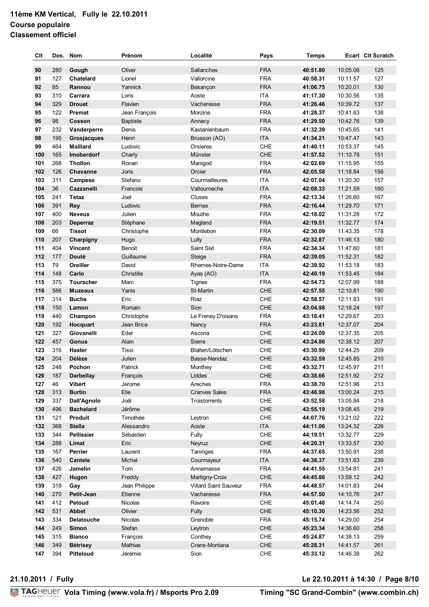| Clt        | Dos.       | <b>Nom</b>         | Prénom          | Localité                   | Pays        | <b>Temps</b>         |                      | <b>Ecart CIt Scratch</b> |
|------------|------------|--------------------|-----------------|----------------------------|-------------|----------------------|----------------------|--------------------------|
| 90         | 280        | Gough              | Oliver          | Sallanches                 | <b>FRA</b>  | 40:51.80             | 10:05.06             | 125                      |
| 91         | 127        | Chatelard          | Lionel          | Vallorcine                 | <b>FRA</b>  | 40:58.31             | 10:11.57             | 127                      |
| 92         | 85         | Rannou             | Yannick         | Besançon                   | <b>FRA</b>  | 41:06.75             | 10:20.01             | 130                      |
| 93         | 310        | Carrara            | Loris           | Aoste                      | <b>ITA</b>  | 41:17.30             | 10:30.56             | 135                      |
| 94         | 329        | <b>Drouet</b>      | Flavien         | Vacheresse                 | <b>FRA</b>  | 41:26.46             | 10:39.72             | 137                      |
| 95         | 122        | Premat             | Jean François   | Morzine                    | <b>FRA</b>  | 41:28.37             | 10:41.63             | 138                      |
| 96         | 98         | Cosson             | <b>Baptiste</b> | Annecy                     | <b>FRA</b>  | 41:29.50             | 10:42.76             | 139                      |
| 97         | 232        | Vanderperre        | Denis           | Kastanienbaum              | <b>FRA</b>  | 41:32.39             | 10:45.65             | 141                      |
| 98         | 195        | <b>Grosjacques</b> | Henri           | Brusson (AO)               | <b>ITA</b>  | 41:34.21             | 10:47.47             | 143                      |
| 99         | 464        | <b>Maillard</b>    | Ludovic         | Orsieres                   | CHE         | 41:40.11             | 10:53.37             | 145                      |
| 100        | 165        | <b>Imoberdorf</b>  | Charly          | Münster                    | CHE         | 41:57.52             | 11:10.78             | 151                      |
| 101        | 268        | <b>Thollon</b>     | Ronan           | Manigod                    | <b>FRA</b>  | 42:02.69             | 11:15.95             | 155                      |
| 102        | 126        | Chavanne           | Joris           | Orcier                     | <b>FRA</b>  | 42:05.58             | 11:18.84             | 156                      |
| 103        | 311        | <b>Campese</b>     | Stefano         | Courmailleures             | <b>ITA</b>  | 42:07.04             | 11:20.30             | 157                      |
| 104        | 36         | Cazzanelli         | Francois        | Valtourneche               | <b>ITA</b>  | 42:08.33             | 11:21.59             | 160                      |
| 105        | 241        | <b>Tetaz</b>       | Joel            | Cluses                     | <b>FRA</b>  | 42:13.34             | 11:26.60             | 167                      |
| 106        | 391        | Rey                | Ludovic         | <b>Bernex</b>              | <b>FRA</b>  | 42:16.44             | 11:29.70             | 171                      |
| 107        | 400        | <b>Neveux</b>      | Julien          | Mouthe                     | <b>FRA</b>  | 42:18.02             | 11:31.28             | 172                      |
| 108        | 203        | <b>Deperraz</b>    | Stéphane        | Magland                    | <b>FRA</b>  | 42:19.51             | 11:32.77             | 174                      |
| 109        | 66         | <b>Tissot</b>      | Christophe      | Montlebon                  | <b>FRA</b>  | 42:30.09             | 11:43.35             | 178                      |
| 110        | 207        | Charpigny          | Hugo            | Lully                      | <b>FRA</b>  | 42:32.87             | 11:46.13             | 180                      |
| 111        | 404        | <b>Vincent</b>     | Benoit          | Saint Sixt                 | <b>FRA</b>  | 42:34.34             | 11:47.60             | 181                      |
| 112        | 177        | <b>Douté</b>       | Guillaume       | Steige                     | <b>FRA</b>  | 42:39.05             | 11:52.31             | 182                      |
| 113        | 79         | Oreiller           | David           | Rhemes-Notre-Dame          | <b>ITA</b>  | 42:39.92             | 11:53.18             | 183                      |
| 114        | 148        | Carlo              | Christille      | Ayas (AO)                  | <b>ITA</b>  | 42:40.19             | 11:53.45             | 184                      |
| 115        | 375        | <b>Tourscher</b>   | Marc            | <b>Tignes</b>              | <b>FRA</b>  | 42:54.73             | 12:07.99             | 188                      |
| 116        | 586        | <b>Muzeaux</b>     | Yanis           | St-Martin                  | CHE         | 42:57.55             | 12:10.81             | 190                      |
| 117        | 314        | <b>Buchs</b>       | Eric            | Riaz                       | CHE         | 42:58.57             | 12:11.83             | 191                      |
| 118        | 150        | Lamon              | Romain          | Sion                       | CHE         | 43:04.98             | 12:18.24             | 197                      |
| 119        | 440        | Champon            | Christophe      | Le Freney D'oisans         | <b>FRA</b>  | 43:16.41             | 12:29.67             | 203                      |
| 120        | 192        | Hocquart           | Jean Brice      | Nancy                      | <b>FRA</b>  | 43:23.81             | 12:37.07             | 204                      |
| 121        | 327        | Giovanelli         | Eder            | Ascona                     | CHE         | 43:24.09             | 12:37.35             | 205                      |
| 122<br>123 | 457<br>316 | Gonus<br>Hasler    | Alain           | Sierre<br>Blatten/Lötschen | CHE<br>CHE  | 43:24.86             | 12:38.12<br>12:44.25 | 207<br>209               |
| 124        | 204        | <b>Délèze</b>      | Tissi<br>Julien | Basse-Nendaz               | CHE         | 43:30.99<br>43:32.59 | 12:45.85             | 210                      |
| 125        | 248        | Pochon             | Patrick         | Monthey                    | CHE         | 43:32.71             | 12:45.97             | 211                      |
| 126        | 187        | <b>Darbellay</b>   | François        | Liddes                     | ${\sf CHE}$ | 43:38.66             | 12:51.92             | 212                      |
| 127        | 46         | Vibert             | Jerome          | Areches                    | <b>FRA</b>  | 43:38.70             | 12:51.96             | 213                      |
| 128        | 313        | <b>Burtin</b>      | Elie            | <b>Cranves Sales</b>       | <b>FRA</b>  | 43:46.98             | 13:00.24             | 215                      |
| 129        | 337        | Dall'Agnolo        | Joël            | Troistorrents              | CHE         | 43:52.58             | 13:05.84             | 218                      |
| 130        | 496        | <b>Bachelard</b>   | Jérôme          |                            | CHE         | 43:55.19             | 13:08.45             | 219                      |
| 131        | 121        | Produit            | Timothée        | Leytron                    | <b>CHE</b>  | 44:07.76             | 13:21.02             | 222                      |
| 132        | 368        | <b>Stella</b>      | Alessandro      | Aoste                      | <b>ITA</b>  | 44:11.06             | 13:24.32             | 226                      |
| 133        | 344        | <b>Pellissier</b>  | Sébastien       | Fully                      | CHE         | 44:19.51             | 13:32.77             | 229                      |
| 134        | 288        | Limat              | Eric            | Neyruz                     | CHE         | 44:20.31             | 13:33.57             | 230                      |
| 135        | 167        | Perrier            | Laurent         | Taninges                   | <b>FRA</b>  | 44:37.65             | 13:50.91             | 238                      |
| 136        | 540        | <b>Cantele</b>     | Michel          | Courmayeur                 | <b>ITA</b>  | 44:38.37             | 13:51.63             | 239                      |
| 137        | 426        | Jamelin            | Tom             | Annemasse                  | <b>FRA</b>  | 44:41.55             | 13:54.81             | 241                      |
| 138        | 427        | Hugon              | Freddy          | Martigny-Croix             | CHE         | 44:45.86             | 13:59.12             | 242                      |
| 139        | 318        | Gay                | Jean Philippe   | Villard Saint Sauveur      | <b>FRA</b>  | 44:48.57             | 14:01.83             | 244                      |
| 140        | 270        | Petit-Jean         | Etienne         | Vacheresse                 | <b>FRA</b>  | 44:57.50             | 14:10.76             | 247                      |
| 141        | 412        | Petoud             | Nicolas         | Ravoire                    | CHE         | 45:01.48             | 14:14.74             | 250                      |
| 142        | 531        | <b>Abbet</b>       | Olivier         | Fully                      | CHE         | 45:10.30             | 14:23.56             | 252                      |
| 143        | 334        | Delatouche         | Nicolas         | Grenoble                   | <b>FRA</b>  | 45:15.74             | 14:29.00             | 254                      |
| 144        | 249        | Simon              | Stefan          | Leytron                    | CHE         | 45:23.34             | 14:36.60             | 258                      |
| 145        | 315        | <b>Bianco</b>      | François        | Conthey                    | CHE         | 45:24.87             | 14:38.13             | 259                      |
| 146        | 349        | <b>Bétrisey</b>    | Mathias         | Crans-Montana              | CHE         | 45:28.31             | 14:41.57             | 261                      |
| 147        | 394        | Pitteloud          | Jérémie         | Sion                       | CHE         | 45:33.12             | 14:46.38             | 262                      |

#### **21.10.2011 / Fully Le 22.10.2011 à 14:30 / Page 8/10**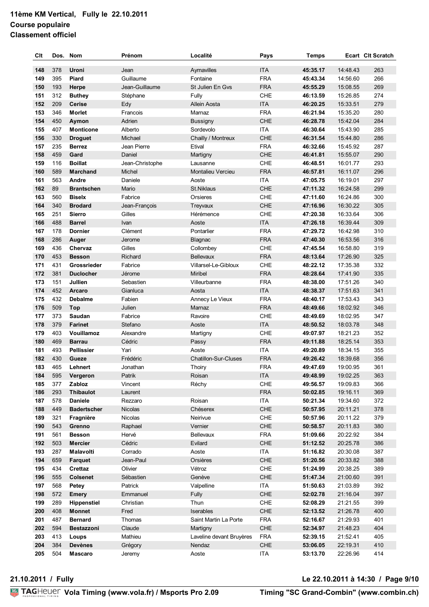| Clt        |            | Dos. Nom                     | Prénom            | Localité                    | Pays                     | <b>Temps</b>         |                      | Ecart Clt Scratch |
|------------|------------|------------------------------|-------------------|-----------------------------|--------------------------|----------------------|----------------------|-------------------|
| 148        | 378        | Uroni                        | Jean              | Aymavilles                  | <b>ITA</b>               | 45:35.17             | 14:48.43             | 263               |
| 149        | 395        | Piard                        | Guillaume         | Fontaine                    | <b>FRA</b>               | 45:43.34             | 14:56.60             | 266               |
| 150        | 193        | Herpe                        | Jean-Guillaume    | St Julien En Gvs            | <b>FRA</b>               | 45:55.29             | 15:08.55             | 269               |
| 151        | 312        | <b>Buthey</b>                | Stéphane          | Fully                       | CHE                      | 46:13.59             | 15:26.85             | 274               |
| 152        | 209        | <b>Cerise</b>                | Edy               | Allein Aosta                | <b>ITA</b>               | 46:20.25             | 15:33.51             | 279               |
| 153        | 346        | <b>Morlet</b>                | Francois          | Marnaz                      | <b>FRA</b>               | 46:21.94             | 15:35.20             | 280               |
| 154        | 450        | Aymon                        | Adrien            | <b>Bussigny</b>             | CHE                      | 46:28.78             | 15:42.04             | 284               |
| 155        | 407        | <b>Monticone</b>             | Alberto           | Sordevolo                   | <b>ITA</b>               | 46:30.64             | 15:43.90             | 285               |
| 156        | 330        | <b>Droguet</b>               | Michael           | Chailly / Montreux          | CHE                      | 46:31.54             | 15:44.80             | 286               |
| 157        | 235        | <b>Berrez</b>                | Jean Pierre       | Etival                      | <b>FRA</b>               | 46:32.66             | 15:45.92             | 287               |
| 158        | 459        | Gard                         | Daniel            | Martigny                    | CHE                      | 46:41.81             | 15:55.07             | 290               |
| 159        | 116        | <b>Boillat</b>               | Jean-Christophe   | Lausanne                    | CHE                      | 46:48.51             | 16:01.77             | 293               |
| 160        | 589        | Marchand                     | Michel            | Montalieu Vercieu           | <b>FRA</b>               | 46:57.81             | 16:11.07             | 296               |
| 161        | 563        | Andre                        | Daniele           | Aoste                       | <b>ITA</b>               | 47:05.75             | 16:19.01             | 297               |
| 162        | 89         | <b>Brantschen</b>            | Mario             | St.Niklaus                  | CHE                      | 47:11.32             | 16:24.58             | 299               |
| 163        | 560        | <b>Biselx</b>                | Fabrice           | Orsieres                    | <b>CHE</b>               | 47:11.60             | 16:24.86             | 300               |
| 164        | 340        | <b>Brodard</b>               | Jean-François     | Treyvaux                    | CHE                      | 47:16.96             | 16:30.22             | 305               |
| 165        | 251        | Sierro                       | Gilles            | Hérémence                   | CHE                      | 47:20.38             | 16:33.64             | 306               |
| 166        | 488        | <b>Barrel</b>                | Ivan              | Aoste                       | <b>ITA</b>               | 47:26.18             | 16:39.44             | 309               |
| 167        | 178        | <b>Dornier</b>               | Clément           | Pontarlier                  | <b>FRA</b>               | 47:29.72             | 16:42.98             | 310               |
| 168        | 286        | Auger                        | Jerome            | <b>Blagnac</b>              | <b>FRA</b>               | 47:40.30             | 16:53.56             | 316               |
| 169        | 436        | Chervaz                      | Gilles            | Collombey                   | CHE                      | 47:45.54             | 16:58.80             | 319               |
| 170        | 453        | <b>Besson</b>                | Richard           | <b>Bellevaux</b>            | <b>FRA</b>               | 48:13.64             | 17:26.90             | 325               |
| 171        | 431        | Grossrieder                  | Fabrice           | Villarsel-Le-Gibloux        | CHE                      | 48:22.12             | 17:35.38             | 332               |
| 172        | 381        | <b>Duclocher</b>             | Jérome            | Miribel                     | <b>FRA</b>               | 48:28.64             | 17:41.90             | 335               |
| 173<br>174 | 151<br>452 | Jullien                      | Sebastien         | Villeurbanne                | <b>FRA</b>               | 48:38.00             | 17:51.26             | 340               |
| 175        | 432        | Arcaro                       | Gianluca          | Aosta                       | <b>ITA</b><br><b>FRA</b> | 48:38.37             | 17:51.63             | 341<br>343        |
| 176        | 509        | <b>Debalme</b><br><b>Top</b> | Fabien<br>Julien  | Annecy Le Vieux<br>Marnaz   | <b>FRA</b>               | 48:40.17<br>48:49.66 | 17:53.43<br>18:02.92 | 346               |
| 177        | 373        | Saudan                       | Fabrice           | Ravoire                     | CHE                      | 48:49.69             | 18:02.95             | 347               |
| 178        | 379        | <b>Farinet</b>               | Stefano           | Aoste                       | <b>ITA</b>               | 48:50.52             | 18:03.78             | 348               |
| 179        | 403        | Vouillamoz                   | Alexandre         | Martigny                    | CHE                      | 49:07.97             | 18:21.23             | 352               |
| 180        | 469        | <b>Barrau</b>                | Cédric            | Passy                       | <b>FRA</b>               | 49:11.88             | 18:25.14             | 353               |
| 181        | 493        | <b>Pellissier</b>            | Yari              | Aoste                       | <b>ITA</b>               | 49:20.89             | 18:34.15             | 355               |
| 182        | 430        | Gueze                        | Frédéric          | <b>Chatillon-Sur-Cluses</b> | <b>FRA</b>               | 49:26.42             | 18:39.68             | 356               |
| 183        | 465        | Lehnert                      | Jonathan          | Thoiry                      | <b>FRA</b>               | 49:47.69             | 19:00.95             | 361               |
| 184        |            | 595 Vergeron                 | Patrik            | Roisan                      | <b>ITA</b>               | 49:48.99             | 19:02.25             | 363               |
| 185        | 377        | Zabloz                       | Vincent           | Réchy                       | CHE                      | 49:56.57             | 19:09.83             | 366               |
| 186        | 293        | <b>Thibaulot</b>             | Laurent           |                             | <b>FRA</b>               | 50:02.85             | 19:16.11             | 369               |
| 187        | 578        | <b>Daniele</b>               | Rezzaro           | Roisan                      | <b>ITA</b>               | 50:21.34             | 19:34.60             | 372               |
| 188        | 449        | <b>Badertscher</b>           | <b>Nicolas</b>    | Chéserex                    | CHE                      | 50:57.95             | 20:11.21             | 378               |
| 189        | 321        | Fragnière                    | Nicolas           | Neirivue                    | <b>CHE</b>               | 50:57.96             | 20:11.22             | 379               |
| 190        | 543        | Grenno                       | Raphael           | Vernier                     | CHE                      | 50:58.57             | 20:11.83             | 380               |
| 191        | 561        | <b>Besson</b>                | Hervé             | <b>Bellevaux</b>            | <b>FRA</b>               | 51:09.66             | 20:22.92             | 384               |
| 192        | 503        | Mercier                      | Cédric            | Evilard                     | CHE                      | 51:12.52             | 20:25.78             | 386               |
| 193        | 287        | Malavolti                    | Corrado           | Aoste                       | <b>ITA</b>               | 51:16.82             | 20:30.08             | 387               |
| 194        | 659        | Farquet                      | Jean-Paul         | Orsières                    | CHE                      | 51:20.56             | 20:33.82             | 388               |
| 195        | 434        | <b>Crettaz</b>               | Olivier           | Vétroz                      | CHE                      | 51:24.99             | 20:38.25             | 389               |
| 196        | 555        | <b>Colsenet</b>              | Sébastien         | Genève                      | CHE                      | 51:47.34             | 21:00.60             | 391               |
| 197        | 568        | Petey                        | Patrick           | Valpelline                  | <b>ITA</b>               | 51:50.63             | 21:03.89             | 392               |
| 198        | 572        | <b>Emery</b>                 | Emmanuel          | Fully                       | CHE                      | 52:02.78             | 21:16.04             | 397               |
| 199<br>200 | 289<br>408 | Hippenstiel<br><b>Monnet</b> | Christian<br>Fred | Thun<br>Iserables           | CHE<br>CHE               | 52:08.29             | 21:21.55             | 399<br>400        |
| 201        | 487        | <b>Bernard</b>               | Thomas            | Saint Martin La Porte       | <b>FRA</b>               | 52:13.52<br>52:16.67 | 21:26.78<br>21:29.93 | 401               |
| 202        | 594        | Bestazzoni                   | Claude            | Martigny                    | CHE                      | 52:34.97             | 21:48.23             | 404               |
| 203        | 413        | Loups                        | Mathieu           | Laveline devant Bruyères    | <b>FRA</b>               | 52:39.15             | 21:52.41             | 405               |
| 204        | 384        | <b>Devènes</b>               | Grégory           | Nendaz                      | CHE                      | 53:06.05             | 22:19.31             | 410               |
| 205        | 504        | <b>Mascaro</b>               | Jeremy            | Aoste                       | ITA                      | 53:13.70             | 22:26.96             | 414               |
|            |            |                              |                   |                             |                          |                      |                      |                   |

#### **21.10.2011 / Fully Le 22.10.2011 à 14:30 / Page 9/10**